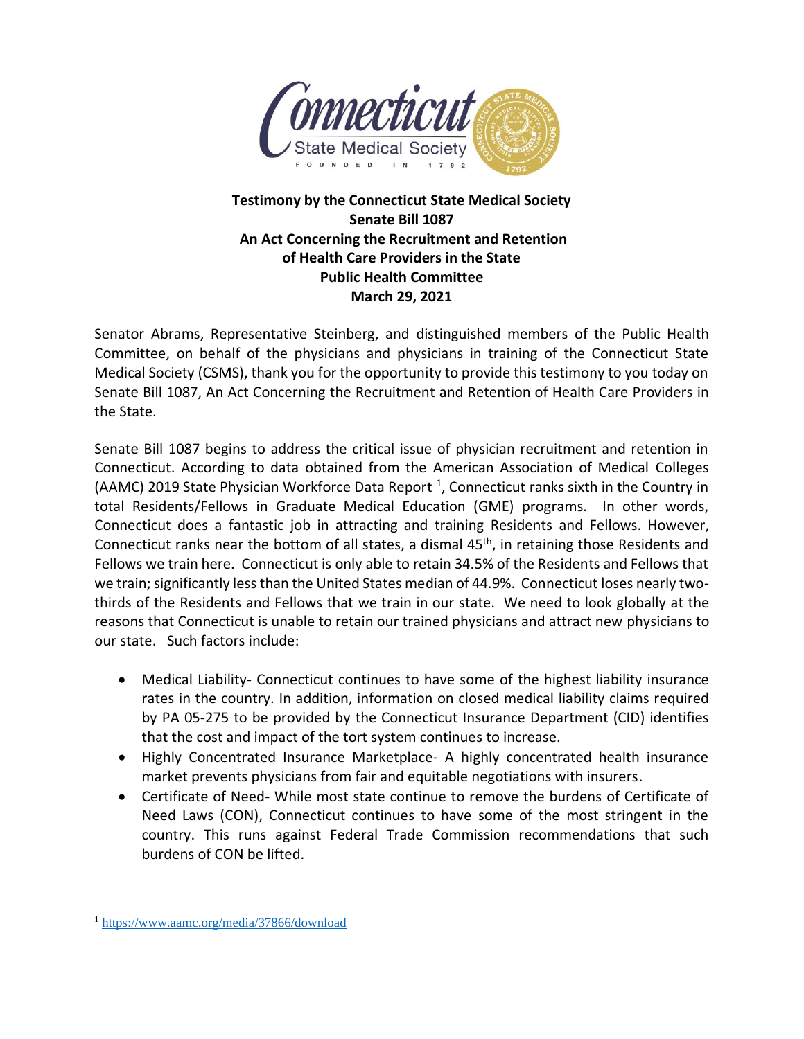

## **Testimony by the Connecticut State Medical Society Senate Bill 1087 An Act Concerning the Recruitment and Retention of Health Care Providers in the State Public Health Committee March 29, 2021**

Senator Abrams, Representative Steinberg, and distinguished members of the Public Health Committee, on behalf of the physicians and physicians in training of the Connecticut State Medical Society (CSMS), thank you for the opportunity to provide this testimony to you today on Senate Bill 1087, An Act Concerning the Recruitment and Retention of Health Care Providers in the State.

Senate Bill 1087 begins to address the critical issue of physician recruitment and retention in Connecticut. According to data obtained from the American Association of Medical Colleges (AAMC) 2019 State Physician Workforce Data Report<sup>1</sup>, Connecticut ranks sixth in the Country in total Residents/Fellows in Graduate Medical Education (GME) programs. In other words, Connecticut does a fantastic job in attracting and training Residents and Fellows. However, Connecticut ranks near the bottom of all states, a dismal 45<sup>th</sup>, in retaining those Residents and Fellows we train here. Connecticut is only able to retain 34.5% of the Residents and Fellows that we train; significantly less than the United States median of 44.9%. Connecticut loses nearly twothirds of the Residents and Fellows that we train in our state. We need to look globally at the reasons that Connecticut is unable to retain our trained physicians and attract new physicians to our state. Such factors include:

- Medical Liability- Connecticut continues to have some of the highest liability insurance rates in the country. In addition, information on closed medical liability claims required by PA 05-275 to be provided by the Connecticut Insurance Department (CID) identifies that the cost and impact of the tort system continues to increase.
- Highly Concentrated Insurance Marketplace- A highly concentrated health insurance market prevents physicians from fair and equitable negotiations with insurers.
- Certificate of Need- While most state continue to remove the burdens of Certificate of Need Laws (CON), Connecticut continues to have some of the most stringent in the country. This runs against Federal Trade Commission recommendations that such burdens of CON be lifted.

<sup>1</sup> <https://www.aamc.org/media/37866/download>